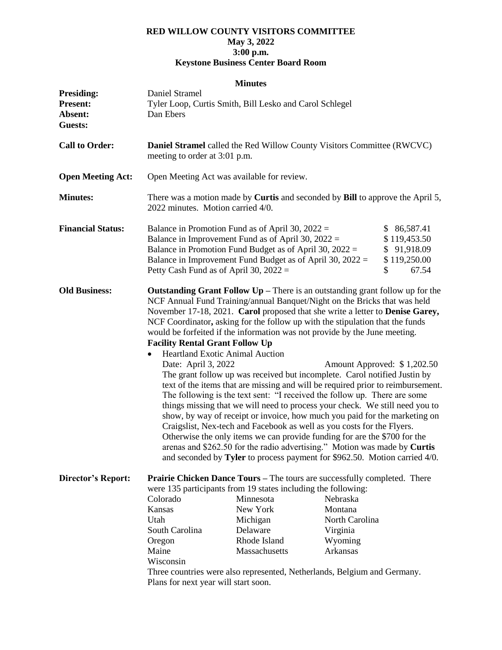## **RED WILLOW COUNTY VISITORS COMMITTEE May 3, 2022 3:00 p.m. Keystone Business Center Board Room**

## **Minutes**

| <b>Presiding:</b>                                                         | Daniel Stramel                                                                                                                                                                                                                                                                                                                                                                                                                                                                                                                          |                                                                            |                |              |  |
|---------------------------------------------------------------------------|-----------------------------------------------------------------------------------------------------------------------------------------------------------------------------------------------------------------------------------------------------------------------------------------------------------------------------------------------------------------------------------------------------------------------------------------------------------------------------------------------------------------------------------------|----------------------------------------------------------------------------|----------------|--------------|--|
| <b>Present:</b>                                                           | Tyler Loop, Curtis Smith, Bill Lesko and Carol Schlegel                                                                                                                                                                                                                                                                                                                                                                                                                                                                                 |                                                                            |                |              |  |
| Absent:                                                                   | Dan Ebers                                                                                                                                                                                                                                                                                                                                                                                                                                                                                                                               |                                                                            |                |              |  |
| <b>Guests:</b>                                                            |                                                                                                                                                                                                                                                                                                                                                                                                                                                                                                                                         |                                                                            |                |              |  |
| <b>Call to Order:</b>                                                     | <b>Daniel Stramel</b> called the Red Willow County Visitors Committee (RWCVC)<br>meeting to order at 3:01 p.m.                                                                                                                                                                                                                                                                                                                                                                                                                          |                                                                            |                |              |  |
|                                                                           |                                                                                                                                                                                                                                                                                                                                                                                                                                                                                                                                         |                                                                            |                |              |  |
| <b>Open Meeting Act:</b>                                                  | Open Meeting Act was available for review.                                                                                                                                                                                                                                                                                                                                                                                                                                                                                              |                                                                            |                |              |  |
|                                                                           |                                                                                                                                                                                                                                                                                                                                                                                                                                                                                                                                         |                                                                            |                |              |  |
| <b>Minutes:</b>                                                           | There was a motion made by <b>Curtis</b> and seconded by <b>Bill</b> to approve the April 5,<br>2022 minutes. Motion carried 4/0.                                                                                                                                                                                                                                                                                                                                                                                                       |                                                                            |                |              |  |
| <b>Financial Status:</b>                                                  |                                                                                                                                                                                                                                                                                                                                                                                                                                                                                                                                         | Balance in Promotion Fund as of April 30, $2022 =$                         |                | \$86,587.41  |  |
|                                                                           |                                                                                                                                                                                                                                                                                                                                                                                                                                                                                                                                         | Balance in Improvement Fund as of April 30, $2022 =$                       |                | \$119,453.50 |  |
|                                                                           |                                                                                                                                                                                                                                                                                                                                                                                                                                                                                                                                         | Balance in Promotion Fund Budget as of April 30, $2022 =$                  |                | \$91,918.09  |  |
|                                                                           |                                                                                                                                                                                                                                                                                                                                                                                                                                                                                                                                         | Balance in Improvement Fund Budget as of April 30, $2022 =$                |                | \$119,250.00 |  |
|                                                                           | Petty Cash Fund as of April 30, $2022 =$                                                                                                                                                                                                                                                                                                                                                                                                                                                                                                |                                                                            |                | \$<br>67.54  |  |
| <b>Old Business:</b>                                                      | <b>Outstanding Grant Follow Up</b> – There is an outstanding grant follow up for the                                                                                                                                                                                                                                                                                                                                                                                                                                                    |                                                                            |                |              |  |
|                                                                           | NCF Annual Fund Training/annual Banquet/Night on the Bricks that was held                                                                                                                                                                                                                                                                                                                                                                                                                                                               |                                                                            |                |              |  |
|                                                                           | November 17-18, 2021. Carol proposed that she write a letter to Denise Garey,<br>NCF Coordinator, asking for the follow up with the stipulation that the funds<br>would be forfeited if the information was not provide by the June meeting.                                                                                                                                                                                                                                                                                            |                                                                            |                |              |  |
|                                                                           |                                                                                                                                                                                                                                                                                                                                                                                                                                                                                                                                         |                                                                            |                |              |  |
|                                                                           |                                                                                                                                                                                                                                                                                                                                                                                                                                                                                                                                         |                                                                            |                |              |  |
|                                                                           |                                                                                                                                                                                                                                                                                                                                                                                                                                                                                                                                         |                                                                            |                |              |  |
|                                                                           | <b>Facility Rental Grant Follow Up</b>                                                                                                                                                                                                                                                                                                                                                                                                                                                                                                  |                                                                            |                |              |  |
|                                                                           | <b>Heartland Exotic Animal Auction</b><br>$\bullet$                                                                                                                                                                                                                                                                                                                                                                                                                                                                                     |                                                                            |                |              |  |
|                                                                           | Date: April 3, 2022<br>Amount Approved: \$1,202.50<br>The grant follow up was received but incomplete. Carol notified Justin by<br>text of the items that are missing and will be required prior to reimbursement.<br>The following is the text sent: "I received the follow up. There are some<br>things missing that we will need to process your check. We still need you to<br>show, by way of receipt or invoice, how much you paid for the marketing on<br>Craigslist, Nex-tech and Facebook as well as you costs for the Flyers. |                                                                            |                |              |  |
|                                                                           |                                                                                                                                                                                                                                                                                                                                                                                                                                                                                                                                         |                                                                            |                |              |  |
|                                                                           |                                                                                                                                                                                                                                                                                                                                                                                                                                                                                                                                         |                                                                            |                |              |  |
|                                                                           |                                                                                                                                                                                                                                                                                                                                                                                                                                                                                                                                         |                                                                            |                |              |  |
|                                                                           |                                                                                                                                                                                                                                                                                                                                                                                                                                                                                                                                         |                                                                            |                |              |  |
|                                                                           |                                                                                                                                                                                                                                                                                                                                                                                                                                                                                                                                         |                                                                            |                |              |  |
|                                                                           |                                                                                                                                                                                                                                                                                                                                                                                                                                                                                                                                         |                                                                            |                |              |  |
| Otherwise the only items we can provide funding for are the \$700 for the |                                                                                                                                                                                                                                                                                                                                                                                                                                                                                                                                         |                                                                            |                |              |  |
|                                                                           |                                                                                                                                                                                                                                                                                                                                                                                                                                                                                                                                         | arenas and \$262.50 for the radio advertising." Motion was made by Curtis  |                |              |  |
|                                                                           |                                                                                                                                                                                                                                                                                                                                                                                                                                                                                                                                         | and seconded by Tyler to process payment for \$962.50. Motion carried 4/0. |                |              |  |
| <b>Director's Report:</b>                                                 | Prairie Chicken Dance Tours - The tours are successfully completed. There                                                                                                                                                                                                                                                                                                                                                                                                                                                               |                                                                            |                |              |  |
|                                                                           | were 135 participants from 19 states including the following:                                                                                                                                                                                                                                                                                                                                                                                                                                                                           |                                                                            |                |              |  |
|                                                                           | Colorado                                                                                                                                                                                                                                                                                                                                                                                                                                                                                                                                | Minnesota                                                                  | Nebraska       |              |  |
|                                                                           | Kansas                                                                                                                                                                                                                                                                                                                                                                                                                                                                                                                                  | New York                                                                   | Montana        |              |  |
|                                                                           | Utah                                                                                                                                                                                                                                                                                                                                                                                                                                                                                                                                    | Michigan                                                                   | North Carolina |              |  |
|                                                                           | South Carolina                                                                                                                                                                                                                                                                                                                                                                                                                                                                                                                          | Delaware                                                                   | Virginia       |              |  |
|                                                                           | Oregon                                                                                                                                                                                                                                                                                                                                                                                                                                                                                                                                  | Rhode Island                                                               | Wyoming        |              |  |
|                                                                           | Maine                                                                                                                                                                                                                                                                                                                                                                                                                                                                                                                                   | Massachusetts                                                              | Arkansas       |              |  |
|                                                                           | Wisconsin                                                                                                                                                                                                                                                                                                                                                                                                                                                                                                                               |                                                                            |                |              |  |
|                                                                           | Three countries were also represented, Netherlands, Belgium and Germany.                                                                                                                                                                                                                                                                                                                                                                                                                                                                |                                                                            |                |              |  |
|                                                                           | Plans for next year will start soon.                                                                                                                                                                                                                                                                                                                                                                                                                                                                                                    |                                                                            |                |              |  |